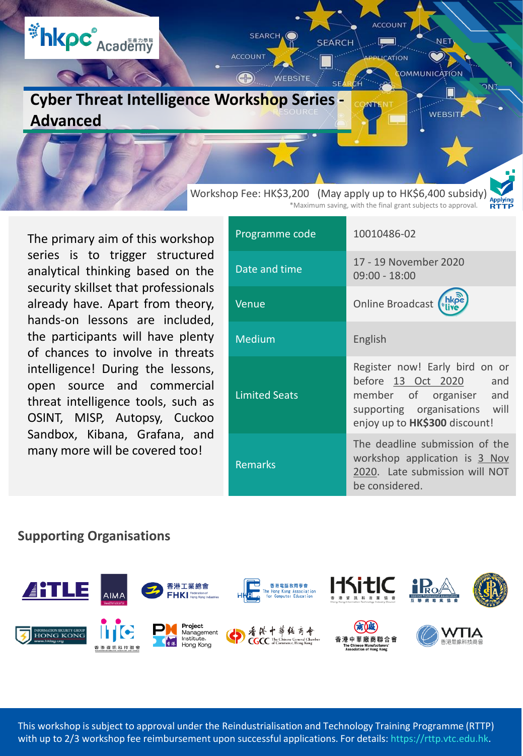

The primary aim of this workshop series is to trigger structured analytical thinking based on the security skillset that professionals already have. Apart from theory, hands-on lessons are included, the participants will have plenty of chances to involve in threats intelligence! During the lessons, open source and commercial threat intelligence tools, such as OSINT, MISP, Autopsy, Cuckoo Sandbox, Kibana, Grafana, and many more will be covered too!

| Programme code       | 10010486-02                                                                                                                                                  |
|----------------------|--------------------------------------------------------------------------------------------------------------------------------------------------------------|
| Date and time        | 17 - 19 November 2020<br>$09:00 - 18:00$                                                                                                                     |
| Venue                | Online Broadcast (hkpe)                                                                                                                                      |
| Medium               | English                                                                                                                                                      |
| <b>Limited Seats</b> | Register now! Early bird on or<br>before 13 Oct 2020 and<br>member of organiser and<br>supporting organisations will<br>enjoy up to <b>HK\$300</b> discount! |
| <b>Remarks</b>       | The deadline submission of the<br>workshop application is 3 Nov<br>2020. Late submission will NOT<br>be considered.                                          |

#### **Supporting Organisations**



This workshop is subject to approval under the Reindustrialisation and Technology Training Programme (RTTP) with up to 2/3 workshop fee reimbursement upon successful applications. For details: https://rttp.vtc.edu.hk.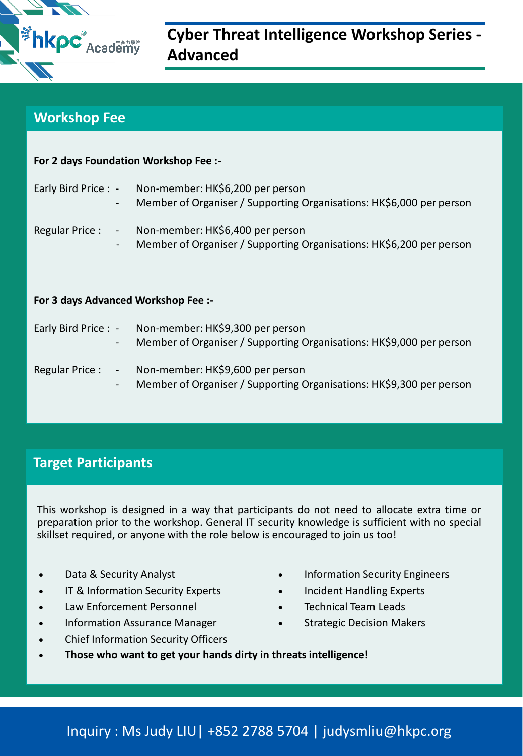

# **Cyber Threat Intelligence Workshop Series - Advanced**

#### **Workshop Fee**

**For 2 days Foundation Workshop Fee :-**

| For z days Foundation workshop Fee :- |                                                                                                                               |  |  |
|---------------------------------------|-------------------------------------------------------------------------------------------------------------------------------|--|--|
| $\blacksquare$                        | Early Bird Price : - Non-member: HK\$6,200 per person<br>Member of Organiser / Supporting Organisations: HK\$6,000 per person |  |  |
| $\overline{\phantom{a}}$              | Regular Price : - Non-member: HK\$6,400 per person<br>Member of Organiser / Supporting Organisations: HK\$6,200 per person    |  |  |
| For 3 days Advanced Workshop Fee :-   |                                                                                                                               |  |  |
| $\blacksquare$                        | Early Bird Price : - Non-member: HK\$9,300 per person<br>Member of Organiser / Supporting Organisations: HK\$9,000 per person |  |  |
|                                       | Regular Price : - Non-member: HK\$9,600 per person                                                                            |  |  |

# **Target Participants**

This workshop is designed in a way that participants do not need to allocate extra time or preparation prior to the workshop. General IT security knowledge is sufficient with no special skillset required, or anyone with the role below is encouraged to join us too!

Member of Organiser / Supporting Organisations: HK\$9,300 per person

- 
- IT & Information Security Experts **Conservation Security Experts**
- Law Enforcement Personnel **Technical Team Leads Technical Team Leads**
- Information Assurance Manager **Conservance Strategic Decision Makers**
- Chief Information Security Officers
- Data & Security Analyst **Information Security Engineers** 
	-
	-
	-
- **Those who want to get your hands dirty in threats intelligence!**

# Inquiry : Ms Judy LIU| +852 2788 5704 | judysmliu@hkpc.org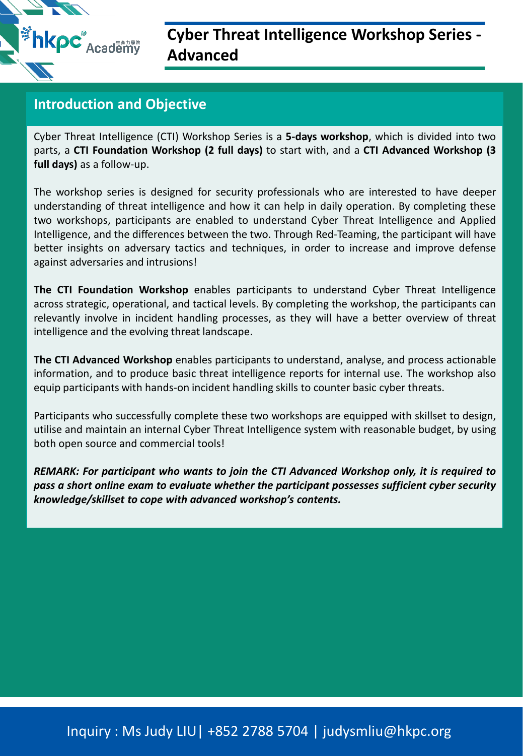**Example 2 Academy** 

# **Cyber Threat Intelligence Workshop Series - Advanced**

## **Introduction and Objective**

Cyber Threat Intelligence (CTI) Workshop Series is a **5-days workshop**, which is divided into two parts, a **CTI Foundation Workshop (2 full days)** to start with, and a **CTI Advanced Workshop (3 full days)** as a follow-up.

The workshop series is designed for security professionals who are interested to have deeper understanding of threat intelligence and how it can help in daily operation. By completing these two workshops, participants are enabled to understand Cyber Threat Intelligence and Applied Intelligence, and the differences between the two. Through Red-Teaming, the participant will have better insights on adversary tactics and techniques, in order to increase and improve defense against adversaries and intrusions!

**The CTI Foundation Workshop** enables participants to understand Cyber Threat Intelligence across strategic, operational, and tactical levels. By completing the workshop, the participants can relevantly involve in incident handling processes, as they will have a better overview of threat intelligence and the evolving threat landscape.

**The CTI Advanced Workshop** enables participants to understand, analyse, and process actionable information, and to produce basic threat intelligence reports for internal use. The workshop also equip participants with hands-on incident handling skills to counter basic cyber threats.

Participants who successfully complete these two workshops are equipped with skillset to design, utilise and maintain an internal Cyber Threat Intelligence system with reasonable budget, by using both open source and commercial tools!

*REMARK: For participant who wants to join the CTI Advanced Workshop only, it is required to pass a short online exam to evaluate whether the participant possesses sufficient cyber security knowledge/skillset to cope with advanced workshop's contents.*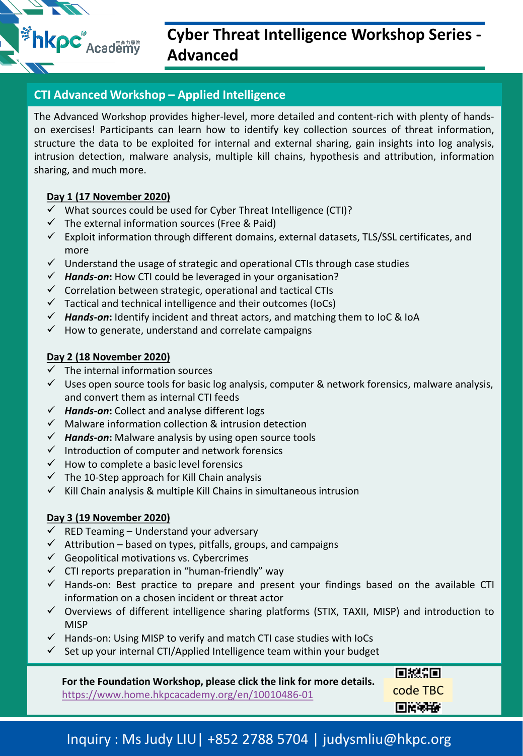**Example 2 Academy** 

# **Cyber Threat Intelligence Workshop Series - Advanced**

# **CTI Advanced Workshop – Applied Intelligence**

The Advanced Workshop provides higher-level, more detailed and content-rich with plenty of handson exercises! Participants can learn how to identify key collection sources of threat information, structure the data to be exploited for internal and external sharing, gain insights into log analysis, intrusion detection, malware analysis, multiple kill chains, hypothesis and attribution, information sharing, and much more.

#### **Day 1 (17 November 2020)**

- $\checkmark$  What sources could be used for Cyber Threat Intelligence (CTI)?
- $\checkmark$  The external information sources (Free & Paid)
- $\checkmark$  Exploit information through different domains, external datasets, TLS/SSL certificates, and more
- $\checkmark$  Understand the usage of strategic and operational CTIs through case studies
- *Hands-on***:** How CTI could be leveraged in your organisation?
- $\checkmark$  Correlation between strategic, operational and tactical CTIs
- $\checkmark$  Tactical and technical intelligence and their outcomes (IoCs)
- *Hands-on***:** Identify incident and threat actors, and matching them to IoC & IoA
- $\checkmark$  How to generate, understand and correlate campaigns

### **Day 2 (18 November 2020)**

- $\checkmark$  The internal information sources
- $\checkmark$  Uses open source tools for basic log analysis, computer & network forensics, malware analysis, and convert them as internal CTI feeds
- *Hands-on***:** Collect and analyse different logs
- $\checkmark$  Malware information collection & intrusion detection
- *Hands-on***:** Malware analysis by using open source tools
- $\checkmark$  Introduction of computer and network forensics
- $\checkmark$  How to complete a basic level forensics
- $\checkmark$  The 10-Step approach for Kill Chain analysis
- $\checkmark$  Kill Chain analysis & multiple Kill Chains in simultaneous intrusion

# **Day 3 (19 November 2020)**

- $\checkmark$  RED Teaming Understand your adversary
- $\checkmark$  Attribution based on types, pitfalls, groups, and campaigns
- $\checkmark$  Geopolitical motivations vs. Cybercrimes
- $\checkmark$  CTI reports preparation in "human-friendly" way
- $\checkmark$  Hands-on: Best practice to prepare and present your findings based on the available CTI information on a chosen incident or threat actor
- $\checkmark$  Overviews of different intelligence sharing platforms (STIX, TAXII, MISP) and introduction to **MISP**
- Hands-on: Using MISP to verify and match CTI case studies with IoCs
- Set up your internal CTI/Applied Intelligence team within your budget

| For the Foundation Workshop, please click the link for more details. | 回想領国     |  |
|----------------------------------------------------------------------|----------|--|
| https://www.home.hkpcacademy.org/en/10010486-01                      | code TBC |  |
|                                                                      | 回答中的     |  |

# Inquiry : Ms Judy LIU| +852 2788 5704 | judysmliu@hkpc.org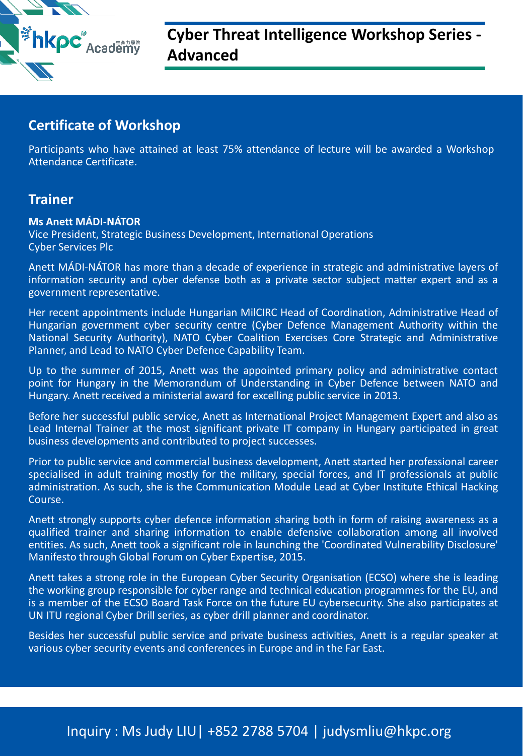

# **Cyber Threat Intelligence Workshop Series - Advanced**

## **Certificate of Workshop**

Participants who have attained at least 75% attendance of lecture will be awarded a Workshop Attendance Certificate.

### **Trainer**

#### **Ms Anett MÁDI-NÁTOR**

Vice President, Strategic Business Development, International Operations Cyber Services Plc

Anett MÁDI-NÁTOR has more than a decade of experience in strategic and administrative layers of information security and cyber defense both as a private sector subject matter expert and as a government representative.

Her recent appointments include Hungarian MilCIRC Head of Coordination, Administrative Head of Hungarian government cyber security centre (Cyber Defence Management Authority within the National Security Authority), NATO Cyber Coalition Exercises Core Strategic and Administrative Planner, and Lead to NATO Cyber Defence Capability Team.

Up to the summer of 2015, Anett was the appointed primary policy and administrative contact point for Hungary in the Memorandum of Understanding in Cyber Defence between NATO and Hungary. Anett received a ministerial award for excelling public service in 2013.

Before her successful public service, Anett as International Project Management Expert and also as Lead Internal Trainer at the most significant private IT company in Hungary participated in great business developments and contributed to project successes.

Prior to public service and commercial business development, Anett started her professional career specialised in adult training mostly for the military, special forces, and IT professionals at public administration. As such, she is the Communication Module Lead at Cyber Institute Ethical Hacking Course.

Anett strongly supports cyber defence information sharing both in form of raising awareness as a qualified trainer and sharing information to enable defensive collaboration among all involved entities. As such, Anett took a significant role in launching the 'Coordinated Vulnerability Disclosure' Manifesto through Global Forum on Cyber Expertise, 2015.

Anett takes a strong role in the European Cyber Security Organisation (ECSO) where she is leading the working group responsible for cyber range and technical education programmes for the EU, and is a member of the ECSO Board Task Force on the future EU cybersecurity. She also participates at UN ITU regional Cyber Drill series, as cyber drill planner and coordinator.

Besides her successful public service and private business activities, Anett is a regular speaker at various cyber security events and conferences in Europe and in the Far East.